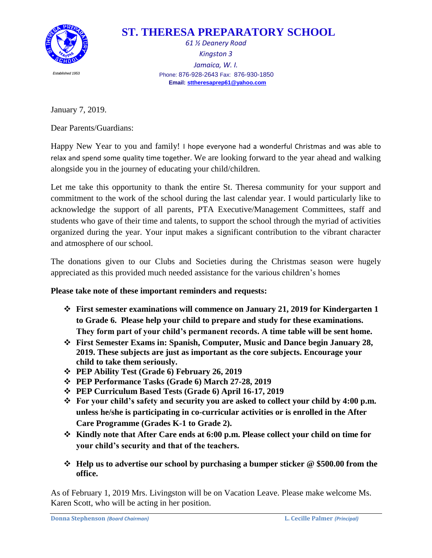

## **ST. THERESA PREPARATORY SCHOOL**

*61 ½ Deanery Road Kingston 3 Jamaica, W. I. Established <sup>1953</sup>* Phone: 876-928-2643 Fax: 876-930-1850 **Email[: sttheresaprep61@yahoo.com](mailto:sttheresaprep61@yahoo.com)**

January 7, 2019.

Dear Parents/Guardians:

Happy New Year to you and family! I hope everyone had a wonderful Christmas and was able to relax and spend some quality time together. We are looking forward to the year ahead and walking alongside you in the journey of educating your child/children.

Let me take this opportunity to thank the entire St. Theresa community for your support and commitment to the work of the school during the last calendar year. I would particularly like to acknowledge the support of all parents, PTA Executive/Management Committees, staff and students who gave of their time and talents, to support the school through the myriad of activities organized during the year. Your input makes a significant contribution to the vibrant character and atmosphere of our school.

The donations given to our Clubs and Societies during the Christmas season were hugely appreciated as this provided much needed assistance for the various children's homes

**Please take note of these important reminders and requests:**

- **First semester examinations will commence on January 21, 2019 for Kindergarten 1 to Grade 6. Please help your child to prepare and study for these examinations. They form part of your child's permanent records. A time table will be sent home.**
- **First Semester Exams in: Spanish, Computer, Music and Dance begin January 28, 2019. These subjects are just as important as the core subjects. Encourage your child to take them seriously.**
- **PEP Ability Test (Grade 6) February 26, 2019**
- **PEP Performance Tasks (Grade 6) March 27-28, 2019**
- **PEP Curriculum Based Tests (Grade 6) April 16-17, 2019**
- **For your child's safety and security you are asked to collect your child by 4:00 p.m. unless he/she is participating in co-curricular activities or is enrolled in the After Care Programme (Grades K-1 to Grade 2).**
- **Kindly note that After Care ends at 6:00 p.m. Please collect your child on time for your child's security and that of the teachers.**
- **Help us to advertise our school by purchasing a bumper sticker @ \$500.00 from the office.**

As of February 1, 2019 Mrs. Livingston will be on Vacation Leave. Please make welcome Ms. Karen Scott, who will be acting in her position.